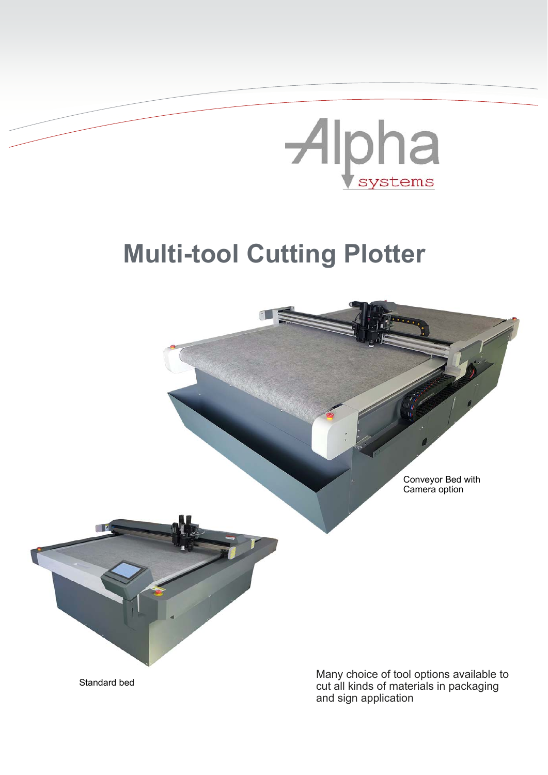## Alpha

## **Multi-tool Cutting Plotter**



cut all kinds of materials in packaging and sign application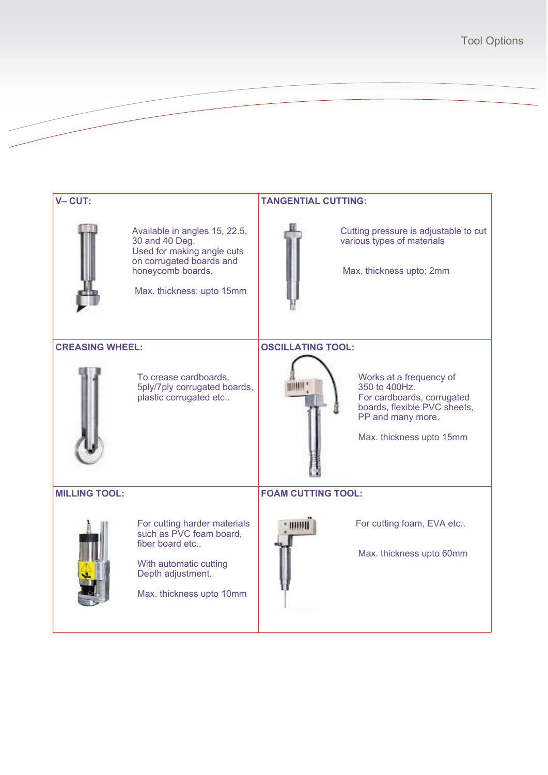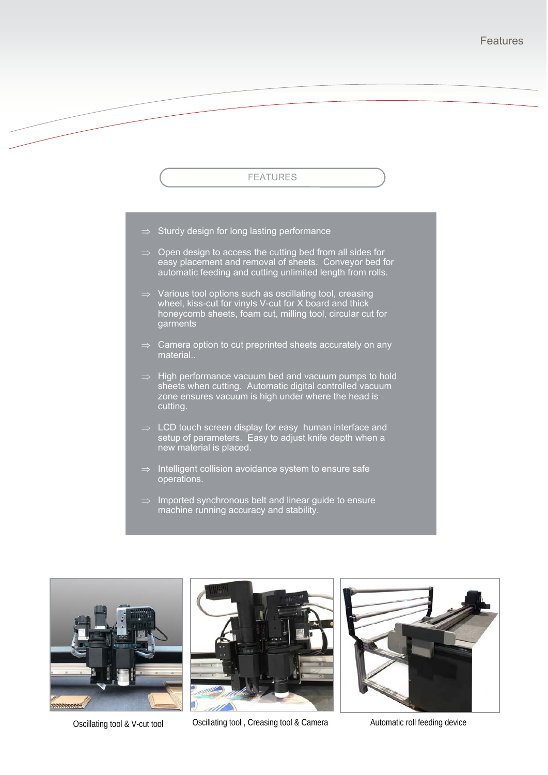## FEATURES

- $\Rightarrow$  Sturdy design for long lasting performance
- $\Rightarrow$  Open design to access the cutting bed from all sides for easy placement and removal of sheets. Conveyor bed for automatic feeding and cutting unlimited length from rolls.
- $\Rightarrow$  Various tool options such as oscillating tool, creasing wheel, kiss-cut for vinyls V-cut for X board and thick honeycomb sheets, foam cut, milling tool, circular cut for garments
- Camera option to cut preprinted sheets accurately on any material..
- $\Rightarrow$  High performance vacuum bed and vacuum pumps to hold sheets when cutting. Automatic digital controlled vacuum zone ensures vacuum is high under where the head is cutting.
- $\Rightarrow$  LCD touch screen display for easy human interface and setup of parameters. Easy to adjust knife depth when a new material is placed.
- Intelligent collision avoidance system to ensure safe operations.
- $\Rightarrow$  Imported synchronous belt and linear guide to ensure machine running accuracy and stability.





Oscillating tool & V-cut tool **COSCILLATING COSCILLATING** Creasing tool & Camera **Automatic roll feeding device**